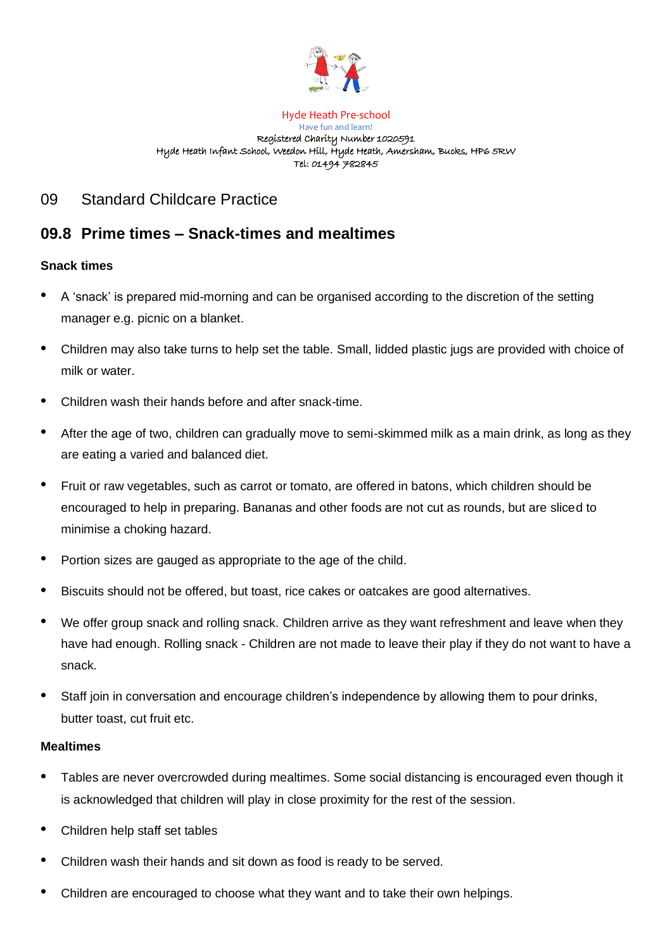

#### Hyde Heath Pre-school Have fun and learn! Registered Charity Number 1020591 Hyde Heath Infant School, Weedon Hill, Hyde Heath, Amersham, Bucks, HP6 5RW Tel: 01494 782845

## 09 Standard Childcare Practice

# **09.8 Prime times – Snack-times and mealtimes**

### **Snack times**

- A 'snack' is prepared mid-morning and can be organised according to the discretion of the setting manager e.g. picnic on a blanket.
- Children may also take turns to help set the table. Small, lidded plastic jugs are provided with choice of milk or water.
- Children wash their hands before and after snack-time.
- After the age of two, children can gradually move to semi-skimmed milk as a main drink, as long as they are eating a varied and balanced diet.
- Fruit or raw vegetables, such as carrot or tomato, are offered in batons, which children should be encouraged to help in preparing. Bananas and other foods are not cut as rounds, but are sliced to minimise a choking hazard.
- Portion sizes are gauged as appropriate to the age of the child.
- Biscuits should not be offered, but toast, rice cakes or oatcakes are good alternatives.
- We offer group snack and rolling snack. Children arrive as they want refreshment and leave when they have had enough. Rolling snack - Children are not made to leave their play if they do not want to have a snack.
- Staff join in conversation and encourage children's independence by allowing them to pour drinks, butter toast, cut fruit etc.

### **Mealtimes**

- Tables are never overcrowded during mealtimes. Some social distancing is encouraged even though it is acknowledged that children will play in close proximity for the rest of the session.
- Children help staff set tables
- Children wash their hands and sit down as food is ready to be served.
- Children are encouraged to choose what they want and to take their own helpings.